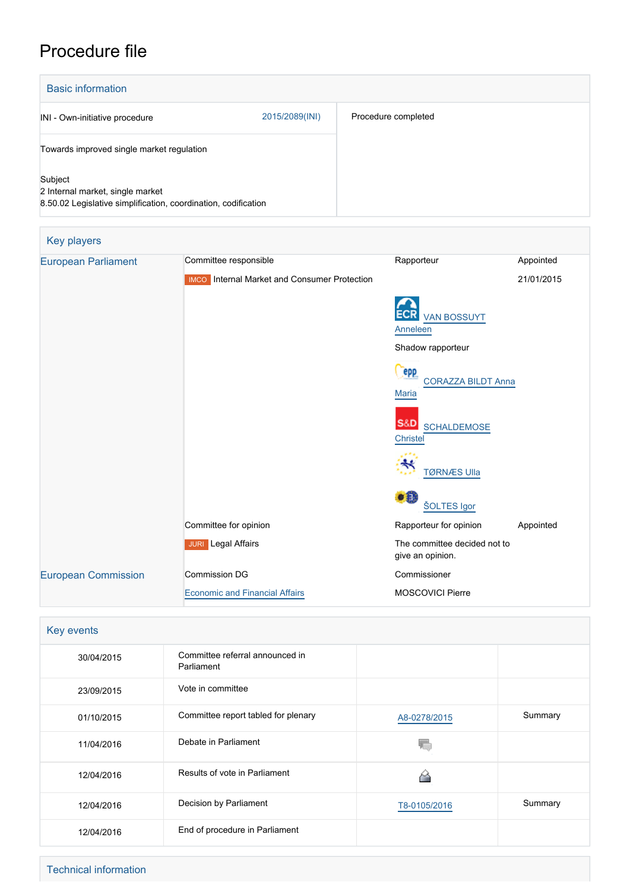# Procedure file

| <b>Basic information</b>                                                                                      |                |                     |
|---------------------------------------------------------------------------------------------------------------|----------------|---------------------|
| INI - Own-initiative procedure                                                                                | 2015/2089(INI) | Procedure completed |
| Towards improved single market regulation                                                                     |                |                     |
| Subject<br>2 Internal market, single market<br>8.50.02 Legislative simplification, coordination, codification |                |                     |

| Key players                |                                                     |                                                         |            |  |
|----------------------------|-----------------------------------------------------|---------------------------------------------------------|------------|--|
| <b>European Parliament</b> | Committee responsible                               | Rapporteur                                              | Appointed  |  |
|                            | <b>IMCO</b> Internal Market and Consumer Protection |                                                         | 21/01/2015 |  |
|                            |                                                     | <b>VAN BOSSUYT</b><br>Anneleen                          |            |  |
|                            |                                                     | Shadow rapporteur                                       |            |  |
|                            |                                                     | <b>epp</b><br><b>CORAZZA BILDT Anna</b><br><b>Maria</b> |            |  |
|                            |                                                     | S&D SCHALDEMOSE<br><b>Christel</b>                      |            |  |
|                            |                                                     | ₩<br><b>TØRNÆS Ulla</b>                                 |            |  |
|                            |                                                     | DË.<br>ŠOLTES Igor                                      |            |  |
|                            | Committee for opinion                               | Rapporteur for opinion                                  | Appointed  |  |
|                            | <b>JURI</b> Legal Affairs                           | The committee decided not to<br>give an opinion.        |            |  |
| <b>European Commission</b> | <b>Commission DG</b>                                | Commissioner                                            |            |  |
|                            | <b>Economic and Financial Affairs</b>               | <b>MOSCOVICI Pierre</b>                                 |            |  |

| Key events |                                               |              |         |  |
|------------|-----------------------------------------------|--------------|---------|--|
| 30/04/2015 | Committee referral announced in<br>Parliament |              |         |  |
| 23/09/2015 | Vote in committee                             |              |         |  |
| 01/10/2015 | Committee report tabled for plenary           | A8-0278/2015 | Summary |  |
| 11/04/2016 | Debate in Parliament                          |              |         |  |
| 12/04/2016 | Results of vote in Parliament                 |              |         |  |
| 12/04/2016 | Decision by Parliament                        | T8-0105/2016 | Summary |  |
| 12/04/2016 | End of procedure in Parliament                |              |         |  |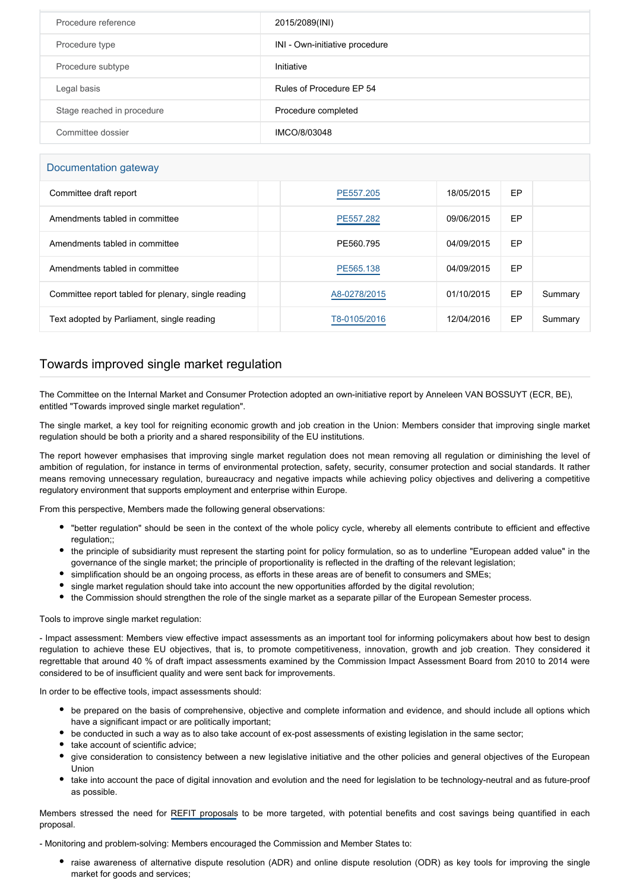| Procedure reference        | 2015/2089(INI)                 |
|----------------------------|--------------------------------|
| Procedure type             | INI - Own-initiative procedure |
| Procedure subtype          | Initiative                     |
| Legal basis                | Rules of Procedure EP 54       |
| Stage reached in procedure | Procedure completed            |
| Committee dossier          | IMCO/8/03048                   |

### Documentation gateway

| Committee draft report                              | PE557.205    | 18/05/2015 | EP |         |
|-----------------------------------------------------|--------------|------------|----|---------|
| Amendments tabled in committee                      | PE557.282    | 09/06/2015 | EP |         |
| Amendments tabled in committee                      | PE560.795    | 04/09/2015 | EP |         |
| Amendments tabled in committee                      | PE565.138    | 04/09/2015 | EP |         |
| Committee report tabled for plenary, single reading | A8-0278/2015 | 01/10/2015 | EP | Summary |
| Text adopted by Parliament, single reading          | T8-0105/2016 | 12/04/2016 | EP | Summary |

## Towards improved single market regulation

The Committee on the Internal Market and Consumer Protection adopted an own-initiative report by Anneleen VAN BOSSUYT (ECR, BE), entitled "Towards improved single market regulation".

The single market, a key tool for reigniting economic growth and job creation in the Union: Members consider that improving single market regulation should be both a priority and a shared responsibility of the EU institutions.

The report however emphasises that improving single market regulation does not mean removing all regulation or diminishing the level of ambition of regulation, for instance in terms of environmental protection, safety, security, consumer protection and social standards. It rather means removing unnecessary regulation, bureaucracy and negative impacts while achieving policy objectives and delivering a competitive regulatory environment that supports employment and enterprise within Europe.

From this perspective, Members made the following general observations:

- "better regulation" should be seen in the context of the whole policy cycle, whereby all elements contribute to efficient and effective regulation;;
- the principle of subsidiarity must represent the starting point for policy formulation, so as to underline "European added value" in the governance of the single market; the principle of proportionality is reflected in the drafting of the relevant legislation;
- simplification should be an ongoing process, as efforts in these areas are of benefit to consumers and SMEs;
- single market regulation should take into account the new opportunities afforded by the digital revolution;
- the Commission should strengthen the role of the single market as a separate pillar of the European Semester process.

#### Tools to improve single market regulation:

- Impact assessment: Members view effective impact assessments as an important tool for informing policymakers about how best to design regulation to achieve these EU objectives, that is, to promote competitiveness, innovation, growth and job creation. They considered it regrettable that around 40 % of draft impact assessments examined by the Commission Impact Assessment Board from 2010 to 2014 were considered to be of insufficient quality and were sent back for improvements.

In order to be effective tools, impact assessments should:

- be prepared on the basis of comprehensive, objective and complete information and evidence, and should include all options which have a significant impact or are politically important;
- be conducted in such a way as to also take account of ex-post assessments of existing legislation in the same sector;
- take account of scientific advice:
- give consideration to consistency between a new legislative initiative and the other policies and general objectives of the European Union
- take into account the pace of digital innovation and evolution and the need for legislation to be technology-neutral and as future-proof as possible.

Members stressed the need for [REFIT proposals](http://www.europarl.europa.eu/oeil/popups/ficheprocedure.do?reference=2014/2150(INI)&l=en) to be more targeted, with potential benefits and cost savings being quantified in each proposal.

- Monitoring and problem-solving: Members encouraged the Commission and Member States to:

raise awareness of alternative dispute resolution (ADR) and online dispute resolution (ODR) as key tools for improving the single market for goods and services;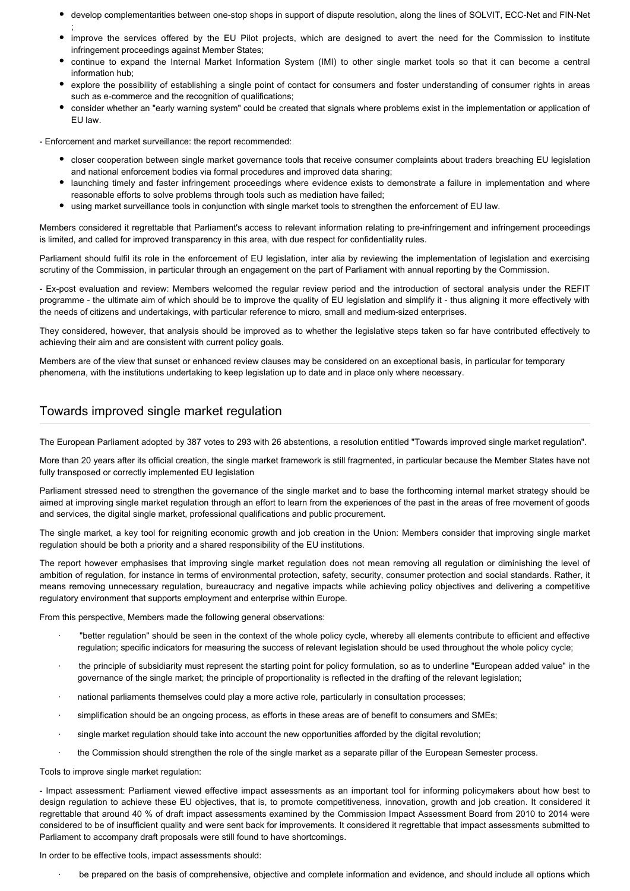- develop complementarities between one-stop shops in support of dispute resolution, along the lines of SOLVIT, ECC-Net and FIN-Net ;
- improve the services offered by the EU Pilot projects, which are designed to avert the need for the Commission to institute infringement proceedings against Member States;
- continue to expand the Internal Market Information System (IMI) to other single market tools so that it can become a central information hub;
- explore the possibility of establishing a single point of contact for consumers and foster understanding of consumer rights in areas such as e-commerce and the recognition of qualifications;
- consider whether an "early warning system" could be created that signals where problems exist in the implementation or application of EU law.

- Enforcement and market surveillance: the report recommended:

- closer cooperation between single market governance tools that receive consumer complaints about traders breaching EU legislation and national enforcement bodies via formal procedures and improved data sharing;
- launching timely and faster infringement proceedings where evidence exists to demonstrate a failure in implementation and where reasonable efforts to solve problems through tools such as mediation have failed;
- using market surveillance tools in conjunction with single market tools to strengthen the enforcement of EU law.

Members considered it regrettable that Parliament's access to relevant information relating to pre-infringement and infringement proceedings is limited, and called for improved transparency in this area, with due respect for confidentiality rules.

Parliament should fulfil its role in the enforcement of EU legislation, inter alia by reviewing the implementation of legislation and exercising scrutiny of the Commission, in particular through an engagement on the part of Parliament with annual reporting by the Commission.

- Ex-post evaluation and review: Members welcomed the regular review period and the introduction of sectoral analysis under the REFIT programme - the ultimate aim of which should be to improve the quality of EU legislation and simplify it - thus aligning it more effectively with the needs of citizens and undertakings, with particular reference to micro, small and medium-sized enterprises.

They considered, however, that analysis should be improved as to whether the legislative steps taken so far have contributed effectively to achieving their aim and are consistent with current policy goals.

Members are of the view that sunset or enhanced review clauses may be considered on an exceptional basis, in particular for temporary phenomena, with the institutions undertaking to keep legislation up to date and in place only where necessary.

## Towards improved single market regulation

The European Parliament adopted by 387 votes to 293 with 26 abstentions, a resolution entitled "Towards improved single market regulation".

More than 20 years after its official creation, the single market framework is still fragmented, in particular because the Member States have not fully transposed or correctly implemented EU legislation

Parliament stressed need to strengthen the governance of the single market and to base the forthcoming internal market strategy should be aimed at improving single market regulation through an effort to learn from the experiences of the past in the areas of free movement of goods and services, the digital single market, professional qualifications and public procurement.

The single market, a key tool for reigniting economic growth and job creation in the Union: Members consider that improving single market regulation should be both a priority and a shared responsibility of the EU institutions.

The report however emphasises that improving single market regulation does not mean removing all regulation or diminishing the level of ambition of regulation, for instance in terms of environmental protection, safety, security, consumer protection and social standards. Rather, it means removing unnecessary regulation, bureaucracy and negative impacts while achieving policy objectives and delivering a competitive regulatory environment that supports employment and enterprise within Europe.

From this perspective, Members made the following general observations:

- · "better regulation" should be seen in the context of the whole policy cycle, whereby all elements contribute to efficient and effective regulation; specific indicators for measuring the success of relevant legislation should be used throughout the whole policy cycle;
- · the principle of subsidiarity must represent the starting point for policy formulation, so as to underline "European added value" in the governance of the single market; the principle of proportionality is reflected in the drafting of the relevant legislation;
- national parliaments themselves could play a more active role, particularly in consultation processes;
- · simplification should be an ongoing process, as efforts in these areas are of benefit to consumers and SMEs;
- single market regulation should take into account the new opportunities afforded by the digital revolution;
- the Commission should strengthen the role of the single market as a separate pillar of the European Semester process.

Tools to improve single market regulation:

- Impact assessment: Parliament viewed effective impact assessments as an important tool for informing policymakers about how best to design regulation to achieve these EU objectives, that is, to promote competitiveness, innovation, growth and job creation. It considered it regrettable that around 40 % of draft impact assessments examined by the Commission Impact Assessment Board from 2010 to 2014 were considered to be of insufficient quality and were sent back for improvements. It considered it regrettable that impact assessments submitted to Parliament to accompany draft proposals were still found to have shortcomings.

In order to be effective tools, impact assessments should:

be prepared on the basis of comprehensive, objective and complete information and evidence, and should include all options which